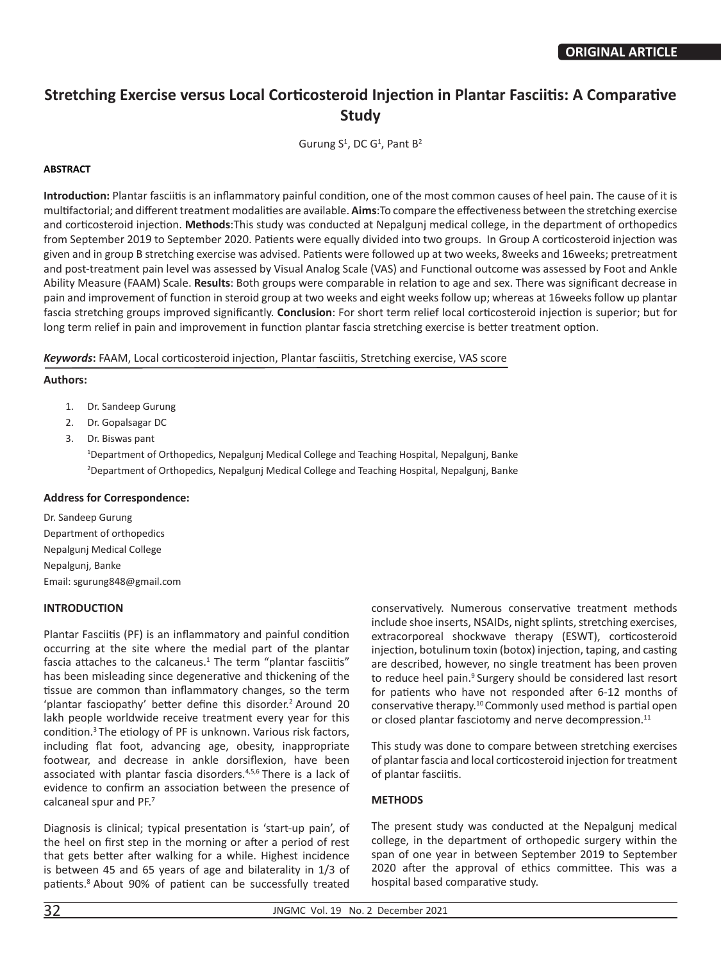# **Stretching Exercise versus Local Corticosteroid Injection in Plantar Fasciitis: A Comparative Study**

Gurung  $S^1$ , DC G<sup>1</sup>, Pant  $B^2$ 

## **ABSTRACT**

**Introduction:** Plantar fasciitis is an inflammatory painful condition, one of the most common causes of heel pain. The cause of it is multifactorial; and different treatment modalities are available. **Aims**:To compare the effectiveness between the stretching exercise and corticosteroid injection. **Methods**:This study was conducted at Nepalgunj medical college, in the department of orthopedics from September 2019 to September 2020. Patients were equally divided into two groups. In Group A corticosteroid injection was given and in group B stretching exercise was advised. Patients were followed up at two weeks, 8weeks and 16weeks; pretreatment and post-treatment pain level was assessed by Visual Analog Scale (VAS) and Functional outcome was assessed by Foot and Ankle Ability Measure (FAAM) Scale. **Results**: Both groups were comparable in relation to age and sex. There was significant decrease in pain and improvement of function in steroid group at two weeks and eight weeks follow up; whereas at 16weeks follow up plantar fascia stretching groups improved significantly. **Conclusion**: For short term relief local corticosteroid injection is superior; but for long term relief in pain and improvement in function plantar fascia stretching exercise is better treatment option.

*Keywords***:** FAAM, Local corticosteroid injection, Plantar fasciitis, Stretching exercise, VAS score

#### **Authors:**

- 1. Dr. Sandeep Gurung
- 2. Dr. Gopalsagar DC
- 3. Dr. Biswas pant

1 Department of Orthopedics, Nepalgunj Medical College and Teaching Hospital, Nepalgunj, Banke 2 Department of Orthopedics, Nepalgunj Medical College and Teaching Hospital, Nepalgunj, Banke

# **Address for Correspondence:**

Dr. Sandeep Gurung Department of orthopedics Nepalgunj Medical College Nepalgunj, Banke Email: sgurung848@gmail.com

# **INTRODUCTION**

Plantar Fasciitis (PF) is an inflammatory and painful condition occurring at the site where the medial part of the plantar fascia attaches to the calcaneus. $1$  The term "plantar fasciitis" has been misleading since degenerative and thickening of the tissue are common than inflammatory changes, so the term 'plantar fasciopathy' better define this disorder.<sup>2</sup> Around 20 lakh people worldwide receive treatment every year for this condition.<sup>3</sup> The etiology of PF is unknown. Various risk factors, including flat foot, advancing age, obesity, inappropriate footwear, and decrease in ankle dorsiflexion, have been associated with plantar fascia disorders.4,5,6 There is a lack of evidence to confirm an association between the presence of calcaneal spur and PF.<sup>7</sup>

Diagnosis is clinical; typical presentation is 'start-up pain', of the heel on first step in the morning or after a period of rest that gets better after walking for a while. Highest incidence is between 45 and 65 years of age and bilaterality in 1/3 of patients.8 About 90% of patient can be successfully treated

conservatively. Numerous conservative treatment methods include shoe inserts, NSAIDs, night splints, stretching exercises, extracorporeal shockwave therapy (ESWT), corticosteroid injection, botulinum toxin (botox) injection, taping, and casting are described, however, no single treatment has been proven to reduce heel pain.<sup>9</sup> Surgery should be considered last resort for patients who have not responded after 6-12 months of conservative therapy.<sup>10</sup> Commonly used method is partial open or closed plantar fasciotomy and nerve decompression.<sup>11</sup>

This study was done to compare between stretching exercises of plantar fascia and local corticosteroid injection for treatment of plantar fasciitis.

# **METHODS**

The present study was conducted at the Nepalgunj medical college, in the department of orthopedic surgery within the span of one year in between September 2019 to September 2020 after the approval of ethics committee. This was a hospital based comparative study.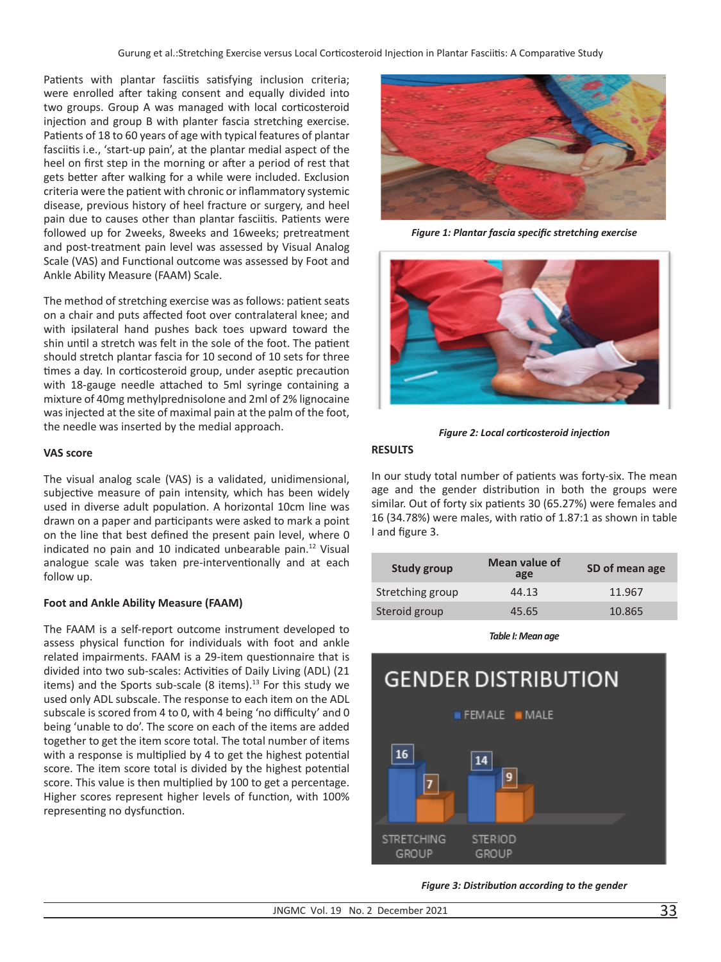Patients with plantar fasciitis satisfying inclusion criteria; were enrolled after taking consent and equally divided into two groups. Group A was managed with local corticosteroid injection and group B with planter fascia stretching exercise. Patients of 18 to 60 years of age with typical features of plantar fasciitis i.e., 'start-up pain', at the plantar medial aspect of the heel on first step in the morning or after a period of rest that gets better after walking for a while were included. Exclusion criteria were the patient with chronic or inflammatory systemic disease, previous history of heel fracture or surgery, and heel pain due to causes other than plantar fasciitis. Patients were followed up for 2weeks, 8weeks and 16weeks; pretreatment and post-treatment pain level was assessed by Visual Analog Scale (VAS) and Functional outcome was assessed by Foot and Ankle Ability Measure (FAAM) Scale.

The method of stretching exercise was as follows: patient seats on a chair and puts affected foot over contralateral knee; and with ipsilateral hand pushes back toes upward toward the shin until a stretch was felt in the sole of the foot. The patient should stretch plantar fascia for 10 second of 10 sets for three times a day. In corticosteroid group, under aseptic precaution with 18-gauge needle attached to 5ml syringe containing a mixture of 40mg methylprednisolone and 2ml of 2% lignocaine was injected at the site of maximal pain at the palm of the foot, the needle was inserted by the medial approach.

## **VAS score**

The visual analog scale (VAS) is a validated, unidimensional, subjective measure of pain intensity, which has been widely used in diverse adult population. A horizontal 10cm line was drawn on a paper and participants were asked to mark a point on the line that best defined the present pain level, where 0 indicated no pain and 10 indicated unbearable pain.<sup>12</sup> Visual analogue scale was taken pre-interventionally and at each follow up.

# **Foot and Ankle Ability Measure (FAAM)**

The FAAM is a self-report outcome instrument developed to assess physical function for individuals with foot and ankle related impairments. FAAM is a 29-item questionnaire that is divided into two sub-scales: Activities of Daily Living (ADL) (21 items) and the Sports sub-scale (8 items).<sup>13</sup> For this study we used only ADL subscale. The response to each item on the ADL subscale is scored from 4 to 0, with 4 being 'no difficulty' and 0 being 'unable to do'. The score on each of the items are added together to get the item score total. The total number of items with a response is multiplied by 4 to get the highest potential score. The item score total is divided by the highest potential score. This value is then multiplied by 100 to get a percentage. Higher scores represent higher levels of function, with 100% representing no dysfunction.



*Figure 1: Plantar fascia specific stretching exercise*



*Figure 2: Local corticosteroid injection*

# **RESULTS**

In our study total number of patients was forty-six. The mean age and the gender distribution in both the groups were similar. Out of forty six patients 30 (65.27%) were females and 16 (34.78%) were males, with ratio of 1.87:1 as shown in table I and figure 3.

| Study group      | Mean value of<br>age | SD of mean age |
|------------------|----------------------|----------------|
| Stretching group | 44.13                | 11.967         |
| Steroid group    | 45.65                | 10.865         |

*Table I: Mean age* 



*Figure 3: Distribution according to the gender*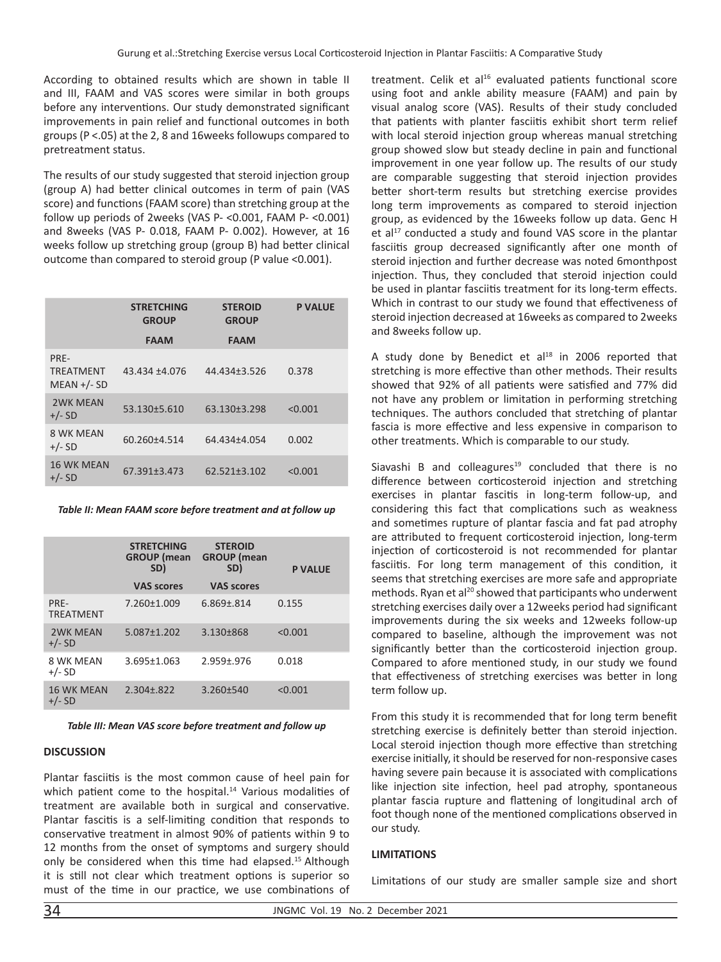According to obtained results which are shown in table II and III, FAAM and VAS scores were similar in both groups before any interventions. Our study demonstrated significant improvements in pain relief and functional outcomes in both groups (P <.05) at the 2, 8 and 16weeks followups compared to pretreatment status.

The results of our study suggested that steroid injection group (group A) had better clinical outcomes in term of pain (VAS score) and functions (FAAM score) than stretching group at the follow up periods of 2weeks (VAS P- <0.001, FAAM P- <0.001) and 8weeks (VAS P- 0.018, FAAM P- 0.002). However, at 16 weeks follow up stretching group (group B) had better clinical outcome than compared to steroid group (P value <0.001).

|                                           | <b>STRETCHING</b><br><b>GROUP</b> | <b>STEROID</b><br><b>GROUP</b> | <b>P VALUE</b> |
|-------------------------------------------|-----------------------------------|--------------------------------|----------------|
|                                           | <b>FAAM</b>                       | <b>FAAM</b>                    |                |
| PRE-<br><b>TRFATMENT</b><br>$MEAN +/- SD$ | 43.434 ±4.076                     | 44.434±3.526                   | 0.378          |
| <b>2WK MFAN</b><br>$+/- SD$               | 53.130±5.610                      | 63.130±3.298                   | < 0.001        |
| 8 WK MEAN<br>$+/- SD$                     | 60.260±4.514                      | 64.434±4.054                   | 0.002          |
| <b>16 WK MEAN</b><br>$+/- SD$             | 67.391+3.473                      | 62.521+3.102                   | < 0.001        |

*Table II: Mean FAAM score before treatment and at follow up*

|                               | <b>STRETCHING</b><br><b>GROUP</b> (mean<br>SD) | <b>STEROID</b><br><b>GROUP</b> (mean<br>SD) | <b>P VALUE</b> |
|-------------------------------|------------------------------------------------|---------------------------------------------|----------------|
|                               | <b>VAS scores</b>                              | <b>VAS scores</b>                           |                |
| PRE-<br><b>TREATMENT</b>      | 7.260±1.009                                    | 6.869±.814                                  | 0.155          |
| <b>2WK MEAN</b><br>$+/- SD$   | 5.087±1.202                                    | 3.130±868                                   | < 0.001        |
| 8 WK MEAN<br>$+/-$ SD         | 3.695±1.063                                    | 2.959±.976                                  | 0.018          |
| <b>16 WK MEAN</b><br>$+/- SD$ | 2.304±.822                                     | 3.260±540                                   | < 0.001        |

*Table III: Mean VAS score before treatment and follow up*

#### **DISCUSSION**

Plantar fasciitis is the most common cause of heel pain for which patient come to the hospital.<sup>14</sup> Various modalities of treatment are available both in surgical and conservative. Plantar fascitis is a self-limiting condition that responds to conservative treatment in almost 90% of patients within 9 to 12 months from the onset of symptoms and surgery should only be considered when this time had elapsed.<sup>15</sup> Although it is still not clear which treatment options is superior so must of the time in our practice, we use combinations of

treatment. Celik et al<sup>16</sup> evaluated patients functional score using foot and ankle ability measure (FAAM) and pain by visual analog score (VAS). Results of their study concluded that patients with planter fasciitis exhibit short term relief with local steroid injection group whereas manual stretching group showed slow but steady decline in pain and functional improvement in one year follow up. The results of our study are comparable suggesting that steroid injection provides better short-term results but stretching exercise provides long term improvements as compared to steroid injection group, as evidenced by the 16weeks follow up data. Genc H  $et al<sup>17</sup>$  conducted a study and found VAS score in the plantar fasciitis group decreased significantly after one month of steroid injection and further decrease was noted 6monthpost injection. Thus, they concluded that steroid injection could be used in plantar fasciitis treatment for its long-term effects. Which in contrast to our study we found that effectiveness of steroid injection decreased at 16weeks as compared to 2weeks and 8weeks follow up.

A study done by Benedict et  $al^{18}$  in 2006 reported that stretching is more effective than other methods. Their results showed that 92% of all patients were satisfied and 77% did not have any problem or limitation in performing stretching techniques. The authors concluded that stretching of plantar fascia is more effective and less expensive in comparison to other treatments. Which is comparable to our study.

Siavashi B and colleagures $19$  concluded that there is no difference between corticosteroid injection and stretching exercises in plantar fascitis in long-term follow-up, and considering this fact that complications such as weakness and sometimes rupture of plantar fascia and fat pad atrophy are attributed to frequent corticosteroid injection, long-term injection of corticosteroid is not recommended for plantar fasciitis. For long term management of this condition, it seems that stretching exercises are more safe and appropriate methods. Ryan et al $^{20}$  showed that participants who underwent stretching exercises daily over a 12weeks period had significant improvements during the six weeks and 12weeks follow-up compared to baseline, although the improvement was not significantly better than the corticosteroid injection group. Compared to afore mentioned study, in our study we found that effectiveness of stretching exercises was better in long term follow up.

From this study it is recommended that for long term benefit stretching exercise is definitely better than steroid injection. Local steroid injection though more effective than stretching exercise initially, it should be reserved for non-responsive cases having severe pain because it is associated with complications like injection site infection, heel pad atrophy, spontaneous plantar fascia rupture and flattening of longitudinal arch of foot though none of the mentioned complications observed in our study.

#### **LIMITATIONS**

Limitations of our study are smaller sample size and short